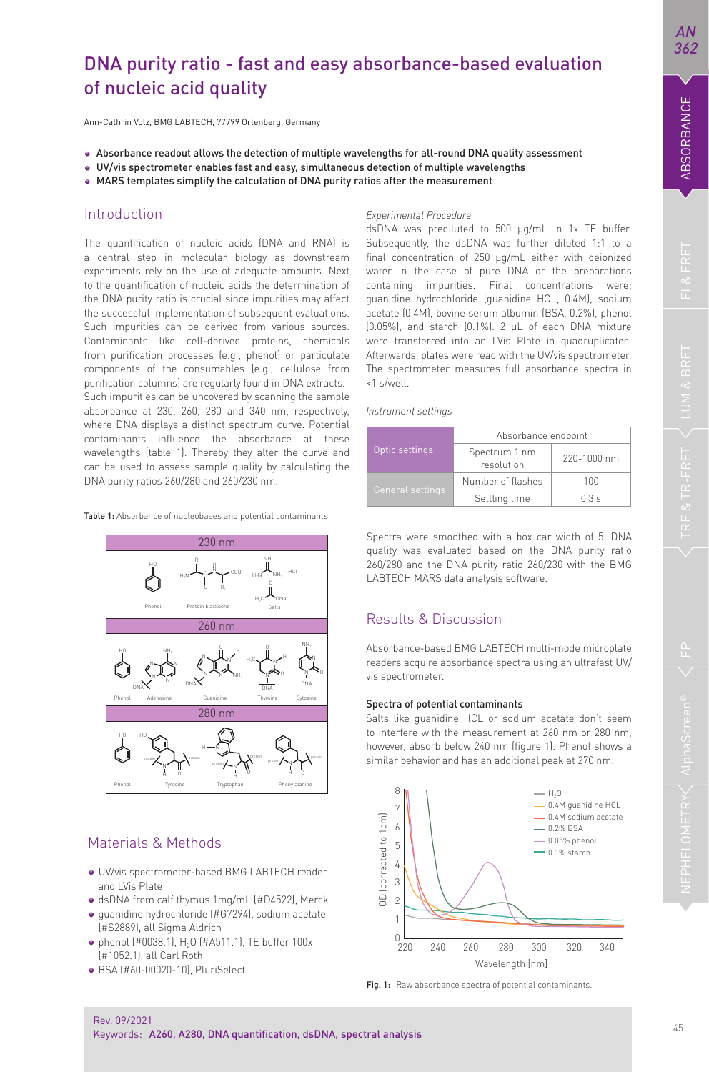Ann-Cathrin Volz, BMG LABTECH, 77799 Ortenberg, Germany

- Absorbance readout allows the detection of multiple wavelengths for all-round DNA quality assessment
- UV/vis spectrometer enables fast and easy, simultaneous detection of multiple wavelengths
- MARS templates simplify the calculation of DNA purity ratios after the measurement

## Introduction

The quantification of nucleic acids (DNA and RNA) is a central step in molecular biology as downstream experiments rely on the use of adequate amounts. Next to the quantification of nucleic acids the determination of the DNA purity ratio is crucial since impurities may affect the successful implementation of subsequent evaluations. Such impurities can be derived from various sources. Contaminants like cell-derived proteins, chemicals from purification processes (e.g., phenol) or particulate components of the consumables (e.g., cellulose from purification columns) are regularly found in DNA extracts. Such impurities can be uncovered by scanning the sample absorbance at 230, 260, 280 and 340 nm, respectively, where DNA displays a distinct spectrum curve. Potential contaminants influence the absorbance at these wavelengths (table 1). Thereby they alter the curve and can be used to assess sample quality by calculating the DNA purity ratios 260/280 and 260/230 nm.

#### Table 1: Absorbance of nucleobases and potential contaminants



## Materials & Methods

- UV/vis spectrometer-based BMG LABTECH reader and LVis Plate
- dsDNA from calf thymus 1mg/mL (#D4522), Merck
- guanidine hydrochloride (#G7294), sodium acetate (#S2889), all Sigma Aldrich
- $\bullet$  phenol (#0038.1), H<sub>2</sub>O (#A511.1), TE buffer 100x (#1052.1), all Carl Roth
- BSA (#60-00020-10), PluriSelect

Rev. 09/2021

#### *Experimental Procedure*

dsDNA was prediluted to 500 µg/mL in 1x TE buffer. Subsequently, the dsDNA was further diluted 1:1 to a final concentration of 250 µg/mL either with deionized water in the case of pure DNA or the preparations containing impurities. Final concentrations were: guanidine hydrochloride (guanidine HCL, 0.4M), sodium acetate (0.4M), bovine serum albumin (BSA, 0.2%), phenol (0.05%), and starch (0.1%). 2 µL of each DNA mixture were transferred into an LVis Plate in quadruplicates. Afterwards, plates were read with the UV/vis spectrometer. The spectrometer measures full absorbance spectra in <1 s/well.

| Instrument settings |  |
|---------------------|--|
|---------------------|--|

|                  | Absorbance endpoint         |              |  |
|------------------|-----------------------------|--------------|--|
| Optic settings   | Spectrum 1 nm<br>resolution | 220-1000 nm  |  |
| General settings | Number of flashes           | 100          |  |
|                  | Settling time               | $0.3 \simeq$ |  |

Spectra were smoothed with a box car width of 5. DNA quality was evaluated based on the DNA purity ratio 260/280 and the DNA purity ratio 260/230 with the BMG LABTECH MARS data analysis software.

# Results & Discussion

Absorbance-based BMG LABTECH multi-mode microplate readers acquire absorbance spectra using an ultrafast UV/ vis spectrometer.

### Spectra of potential contaminants

Salts like guanidine HCL or sodium acetate don't seem to interfere with the measurement at 260 nm or 280 nm, however, absorb below 240 nm (figure 1). Phenol shows a similar behavior and has an additional peak at 270 nm.



Fig. 1: Raw absorbance spectra of potential contaminants